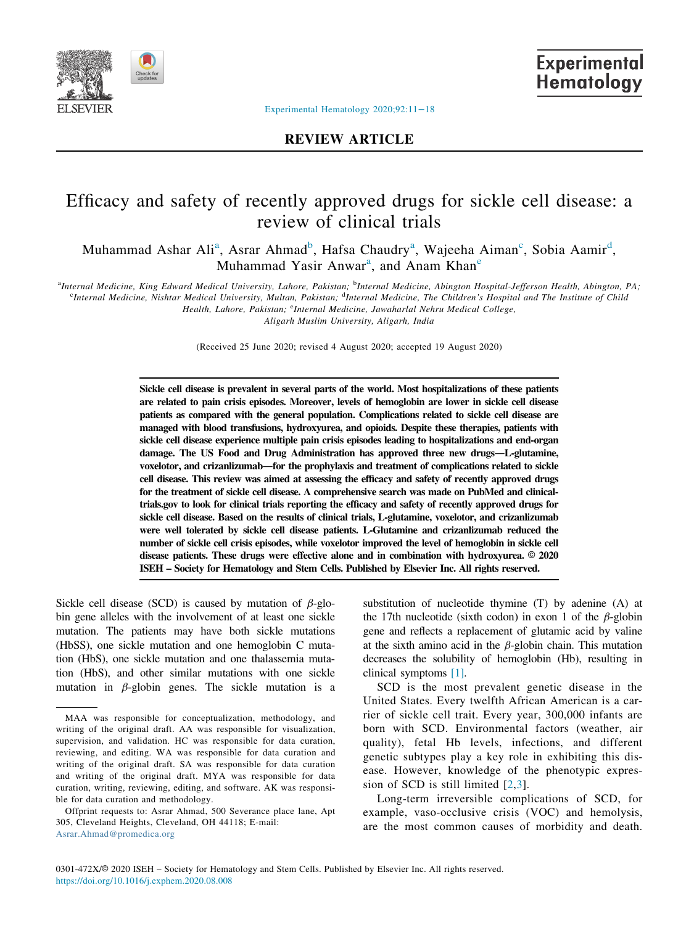

**Experimental** Hematology

## REVIEW ARTICLE

# Efficacy and safety of recently approved drugs for sickle cell disease: a review of clinical trials

Muh[a](#page-0-0)mmad Ashar Ali<sup>a</sup>, Asrar Ahmad<sup>[b](#page-0-0)</sup>, Hafsa Chaudry<sup>a</sup>, Wajeeha Aiman<sup>[c](#page-0-0)</sup>, Sobia Aamir<sup>[d](#page-0-1)</sup>, Muh[a](#page-0-0)mmad Yasir Anwar<sup>a</sup>, and Anam Khan<sup>[e](#page-0-2)</sup>

<span id="page-0-2"></span><span id="page-0-1"></span><span id="page-0-0"></span>a<br>Internal Medicine, King Edward Medical University, Lahore, Pakistan; <sup>b</sup>Internal Medicine, Abington Hospital-Jefferson Health, Abington, PA;

<sup>c</sup>Internal Medicine, Nishtar Medical University, Multan, Pakistan; <sup>d</sup>Internal Medicine, The Children's Hospital and The Institute of Child

Health, Lahore, Pakistan; <sup>e</sup>Internal Medicine, Jawaharlal Nehru Medical College,

Aligarh Muslim University, Aligarh, India

(Received 25 June 2020; revised 4 August 2020; accepted 19 August 2020)

Sickle cell disease is prevalent in several parts of the world. Most hospitalizations of these patients are related to pain crisis episodes. Moreover, levels of hemoglobin are lower in sickle cell disease patients as compared with the general population. Complications related to sickle cell disease are managed with blood transfusions, hydroxyurea, and opioids. Despite these therapies, patients with sickle cell disease experience multiple pain crisis episodes leading to hospitalizations and end-organ damage. The US Food and Drug Administration has approved three new drugs—L-glutamine, voxelotor, and crizanlizumab—for the prophylaxis and treatment of complications related to sickle cell disease. This review was aimed at assessing the efficacy and safety of recently approved drugs for the treatment of sickle cell disease. A comprehensive search was made on PubMed and clinicaltrials.gov to look for clinical trials reporting the efficacy and safety of recently approved drugs for sickle cell disease. Based on the results of clinical trials, L-glutamine, voxelotor, and crizanlizumab were well tolerated by sickle cell disease patients. L-Glutamine and crizanlizumab reduced the number of sickle cell crisis episodes, while voxelotor improved the level of hemoglobin in sickle cell disease patients. These drugs were effective alone and in combination with hydroxyurea. © 2020 ISEH – Society for Hematology and Stem Cells. Published by Elsevier Inc. All rights reserved.

Sickle cell disease (SCD) is caused by mutation of  $\beta$ -globin gene alleles with the involvement of at least one sickle mutation. The patients may have both sickle mutations (HbSS), one sickle mutation and one hemoglobin C mutation (HbS), one sickle mutation and one thalassemia mutation (HbS), and other similar mutations with one sickle mutation in  $\beta$ -globin genes. The sickle mutation is a substitution of nucleotide thymine (T) by adenine (A) at the 17th nucleotide (sixth codon) in exon 1 of the  $\beta$ -globin gene and reflects a replacement of glutamic acid by valine at the sixth amino acid in the  $\beta$ -globin chain. This mutation decreases the solubility of hemoglobin (Hb), resulting in clinical symptoms [\[1\]](#page-6-0).

SCD is the most prevalent genetic disease in the United States. Every twelfth African American is a carrier of sickle cell trait. Every year, 300,000 infants are born with SCD. Environmental factors (weather, air quality), fetal Hb levels, infections, and different genetic subtypes play a key role in exhibiting this disease. However, knowledge of the phenotypic expression of SCD is still limited [\[2](#page-6-1),[3](#page-6-2)].

Long-term irreversible complications of SCD, for example, vaso-occlusive crisis (VOC) and hemolysis, are the most common causes of morbidity and death.

MAA was responsible for conceptualization, methodology, and writing of the original draft. AA was responsible for visualization, supervision, and validation. HC was responsible for data curation, reviewing, and editing. WA was responsible for data curation and writing of the original draft. SA was responsible for data curation and writing of the original draft. MYA was responsible for data curation, writing, reviewing, editing, and software. AK was responsible for data curation and methodology.

Offprint requests to: Asrar Ahmad, 500 Severance place lane, Apt 305, Cleveland Heights, Cleveland, OH 44118; E-mail: [Asrar.Ahmad@promedica.org](mailto:*Offprint requests to: Asrar Ahmad, 500 Severance place lane, Apt 305, Cleveland Heights, Cleveland, OH 44118500 Severance place lane, Apt 305, Cleveland HeightsClevelandOH44118)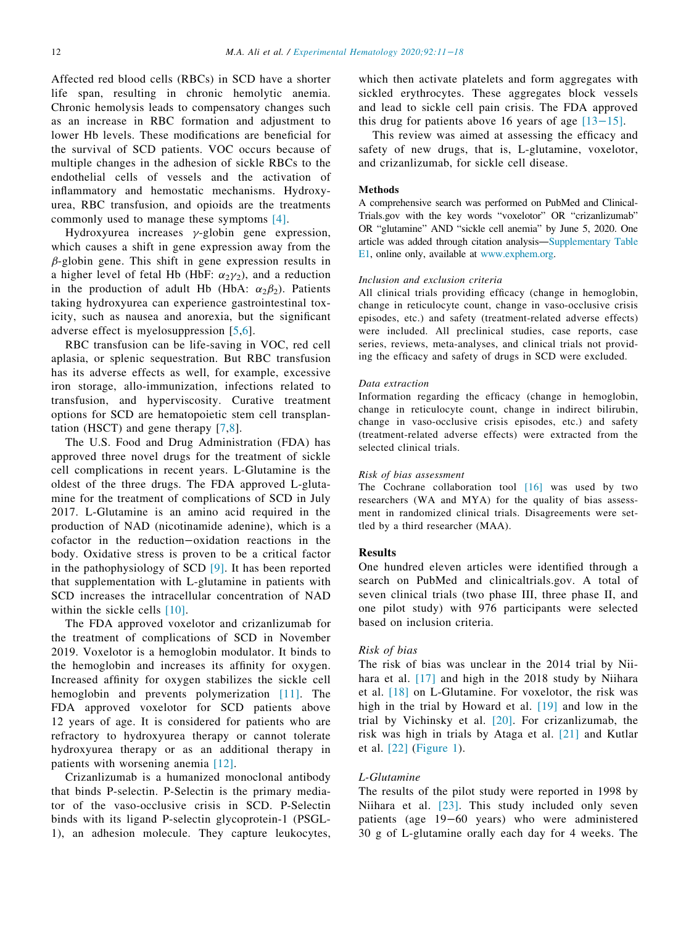Affected red blood cells (RBCs) in SCD have a shorter life span, resulting in chronic hemolytic anemia. Chronic hemolysis leads to compensatory changes such as an increase in RBC formation and adjustment to lower Hb levels. These modifications are beneficial for the survival of SCD patients. VOC occurs because of multiple changes in the adhesion of sickle RBCs to the endothelial cells of vessels and the activation of inflammatory and hemostatic mechanisms. Hydroxyurea, RBC transfusion, and opioids are the treatments commonly used to manage these symptoms [\[4\]](#page-6-3).

Hydroxyurea increases  $\gamma$ -globin gene expression, which causes a shift in gene expression away from the  $\beta$ -globin gene. This shift in gene expression results in a higher level of fetal Hb (HbF:  $\alpha_2 \gamma_2$ ), and a reduction in the production of adult Hb (HbA:  $\alpha_2\beta_2$ ). Patients taking hydroxyurea can experience gastrointestinal toxicity, such as nausea and anorexia, but the significant adverse effect is myelosuppression [[5](#page-6-4)[,6\]](#page-6-5).

RBC transfusion can be life-saving in VOC, red cell aplasia, or splenic sequestration. But RBC transfusion has its adverse effects as well, for example, excessive iron storage, allo-immunization, infections related to transfusion, and hyperviscosity. Curative treatment options for SCD are hematopoietic stem cell transplantation (HSCT) and gene therapy [\[7](#page-6-6),[8](#page-6-7)].

The U.S. Food and Drug Administration (FDA) has approved three novel drugs for the treatment of sickle cell complications in recent years. L-Glutamine is the oldest of the three drugs. The FDA approved L-glutamine for the treatment of complications of SCD in July 2017. L-Glutamine is an amino acid required in the production of NAD (nicotinamide adenine), which is a cofactor in the reduction−oxidation reactions in the body. Oxidative stress is proven to be a critical factor in the pathophysiology of SCD [\[9\]](#page-6-8). It has been reported that supplementation with L-glutamine in patients with SCD increases the intracellular concentration of NAD within the sickle cells [\[10\].](#page-6-9)

The FDA approved voxelotor and crizanlizumab for the treatment of complications of SCD in November 2019. Voxelotor is a hemoglobin modulator. It binds to the hemoglobin and increases its affinity for oxygen. Increased affinity for oxygen stabilizes the sickle cell hemoglobin and prevents polymerization [\[11\]](#page-6-10). The FDA approved voxelotor for SCD patients above 12 years of age. It is considered for patients who are refractory to hydroxyurea therapy or cannot tolerate hydroxyurea therapy or as an additional therapy in patients with worsening anemia [\[12\]](#page-6-11).

Crizanlizumab is a humanized monoclonal antibody that binds P-selectin. P-Selectin is the primary mediator of the vaso-occlusive crisis in SCD. P-Selectin binds with its ligand P-selectin glycoprotein-1 (PSGL-1), an adhesion molecule. They capture leukocytes,

which then activate platelets and form aggregates with sickled erythrocytes. These aggregates block vessels and lead to sickle cell pain crisis. The FDA approved this drug for patients above 16 years of age  $[13-15]$  $[13-15]$ .

This review was aimed at assessing the efficacy and safety of new drugs, that is, L-glutamine, voxelotor, and crizanlizumab, for sickle cell disease.

#### Methods

A comprehensive search was performed on PubMed and Clinical-Trials.gov with the key words "voxelotor" OR "crizanlizumab" OR "glutamine" AND "sickle cell anemia" by June 5, 2020. One article was added through citation analysis—[Supplementary Table](#page-8-0) [E1,](#page-8-0) online only, available at [www.exphem.org.](http://www.exphem.org)

#### Inclusion and exclusion criteria

All clinical trials providing efficacy (change in hemoglobin, change in reticulocyte count, change in vaso-occlusive crisis episodes, etc.) and safety (treatment-related adverse effects) were included. All preclinical studies, case reports, case series, reviews, meta-analyses, and clinical trials not providing the efficacy and safety of drugs in SCD were excluded.

#### Data extraction

Information regarding the efficacy (change in hemoglobin, change in reticulocyte count, change in indirect bilirubin, change in vaso-occlusive crisis episodes, etc.) and safety (treatment-related adverse effects) were extracted from the selected clinical trials.

#### Risk of bias assessment

The Cochrane collaboration tool [\[16\]](#page-6-13) was used by two researchers (WA and MYA) for the quality of bias assessment in randomized clinical trials. Disagreements were settled by a third researcher (MAA).

#### **Results**

One hundred eleven articles were identified through a search on PubMed and clinicaltrials.gov. A total of seven clinical trials (two phase III, three phase II, and one pilot study) with 976 participants were selected based on inclusion criteria.

## Risk of bias

The risk of bias was unclear in the 2014 trial by Nii-hara et al. [\[17\]](#page-6-14) and high in the 2018 study by Niihara et al. [\[18\]](#page-6-15) on L-Glutamine. For voxelotor, the risk was high in the trial by Howard et al. [\[19\]](#page-6-16) and low in the trial by Vichinsky et al. [\[20\].](#page-6-17) For crizanlizumab, the risk was high in trials by Ataga et al. [\[21\]](#page-6-18) and Kutlar et al. [\[22\]](#page-6-19) [\(Figure 1](#page-2-0)).

### L-Glutamine

The results of the pilot study were reported in 1998 by Niihara et al. [\[23\].](#page-6-20) This study included only seven patients (age 19−60 years) who were administered 30 g of L-glutamine orally each day for 4 weeks. The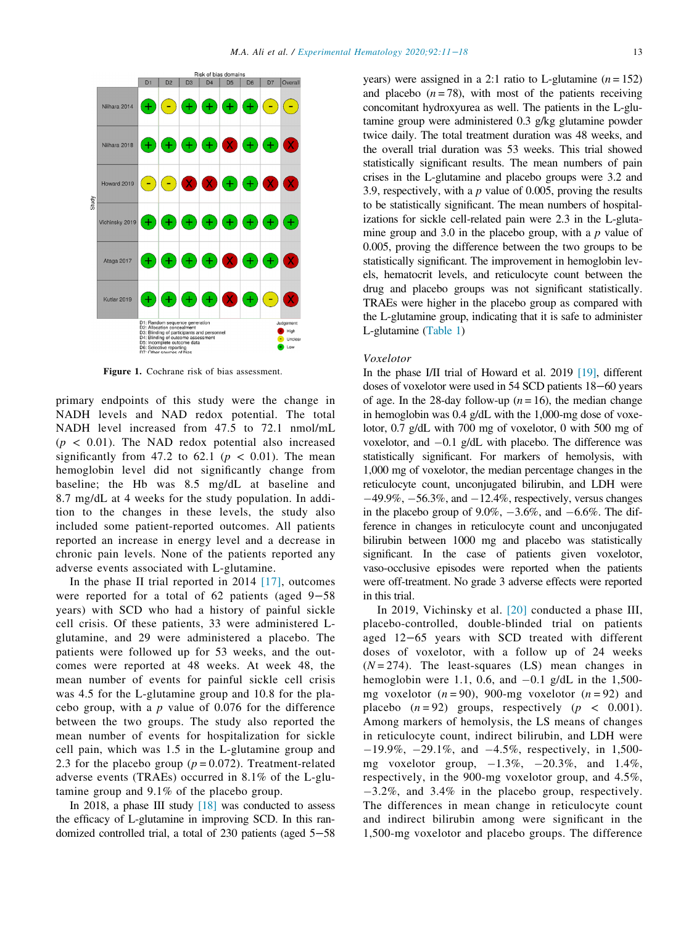<span id="page-2-0"></span>

Figure 1. Cochrane risk of bias assessment.

primary endpoints of this study were the change in NADH levels and NAD redox potential. The total NADH level increased from 47.5 to 72.1 nmol/mL  $(p < 0.01)$ . The NAD redox potential also increased significantly from 47.2 to 62.1 ( $p < 0.01$ ). The mean hemoglobin level did not significantly change from baseline; the Hb was 8.5 mg/dL at baseline and 8.7 mg/dL at 4 weeks for the study population. In addition to the changes in these levels, the study also included some patient-reported outcomes. All patients reported an increase in energy level and a decrease in chronic pain levels. None of the patients reported any adverse events associated with L-glutamine.

In the phase II trial reported in 2014  $[17]$ , outcomes were reported for a total of 62 patients (aged 9−58 years) with SCD who had a history of painful sickle cell crisis. Of these patients, 33 were administered Lglutamine, and 29 were administered a placebo. The patients were followed up for 53 weeks, and the outcomes were reported at 48 weeks. At week 48, the mean number of events for painful sickle cell crisis was 4.5 for the L-glutamine group and 10.8 for the placebo group, with a  $p$  value of 0.076 for the difference between the two groups. The study also reported the mean number of events for hospitalization for sickle cell pain, which was 1.5 in the L-glutamine group and 2.3 for the placebo group ( $p = 0.072$ ). Treatment-related adverse events (TRAEs) occurred in 8.1% of the L-glutamine group and 9.1% of the placebo group.

In 2018, a phase III study  $[18]$  was conducted to assess the efficacy of L-glutamine in improving SCD. In this randomized controlled trial, a total of 230 patients (aged 5−58 years) were assigned in a 2:1 ratio to L-glutamine  $(n = 152)$ and placebo  $(n = 78)$ , with most of the patients receiving concomitant hydroxyurea as well. The patients in the L-glutamine group were administered 0.3 g/kg glutamine powder twice daily. The total treatment duration was 48 weeks, and the overall trial duration was 53 weeks. This trial showed statistically significant results. The mean numbers of pain crises in the L-glutamine and placebo groups were 3.2 and 3.9, respectively, with a  $p$  value of 0.005, proving the results to be statistically significant. The mean numbers of hospitalizations for sickle cell-related pain were 2.3 in the L-glutamine group and 3.0 in the placebo group, with a  $p$  value of 0.005, proving the difference between the two groups to be statistically significant. The improvement in hemoglobin levels, hematocrit levels, and reticulocyte count between the drug and placebo groups was not significant statistically. TRAEs were higher in the placebo group as compared with the L-glutamine group, indicating that it is safe to administer L-glutamine [\(Table 1\)](#page-3-0)

#### Voxelotor

In the phase I/II trial of Howard et al. 2019 [\[19\]](#page-6-16), different doses of voxelotor were used in 54 SCD patients 18−60 years of age. In the 28-day follow-up  $(n = 16)$ , the median change in hemoglobin was 0.4 g/dL with the 1,000-mg dose of voxelotor, 0.7 g/dL with 700 mg of voxelotor, 0 with 500 mg of voxelotor, and  $-0.1$  g/dL with placebo. The difference was statistically significant. For markers of hemolysis, with 1,000 mg of voxelotor, the median percentage changes in the reticulocyte count, unconjugated bilirubin, and LDH were  $-49.9\%, -56.3\%,$  and  $-12.4\%$ , respectively, versus changes in the placebo group of  $9.0\%$ ,  $-3.6\%$ , and  $-6.6\%$ . The difference in changes in reticulocyte count and unconjugated bilirubin between 1000 mg and placebo was statistically significant. In the case of patients given voxelotor, vaso-occlusive episodes were reported when the patients were off-treatment. No grade 3 adverse effects were reported in this trial.

In 2019, Vichinsky et al. [\[20\]](#page-6-17) conducted a phase III, placebo-controlled, double-blinded trial on patients aged 12−65 years with SCD treated with different doses of voxelotor, with a follow up of 24 weeks  $(N = 274)$ . The least-squares (LS) mean changes in hemoglobin were 1.1, 0.6, and  $-0.1$  g/dL in the 1,500mg voxelotor  $(n = 90)$ , 900-mg voxelotor  $(n = 92)$  and placebo  $(n = 92)$  groups, respectively  $(p < 0.001)$ . Among markers of hemolysis, the LS means of changes in reticulocyte count, indirect bilirubin, and LDH were  $-19.9\%$ ,  $-29.1\%$ , and  $-4.5\%$ , respectively, in 1,500mg voxelotor group,  $-1.3\%$ ,  $-20.3\%$ , and  $1.4\%$ , respectively, in the 900-mg voxelotor group, and 4.5%,  $-3.2\%$ , and 3.4% in the placebo group, respectively. The differences in mean change in reticulocyte count and indirect bilirubin among were significant in the 1,500-mg voxelotor and placebo groups. The difference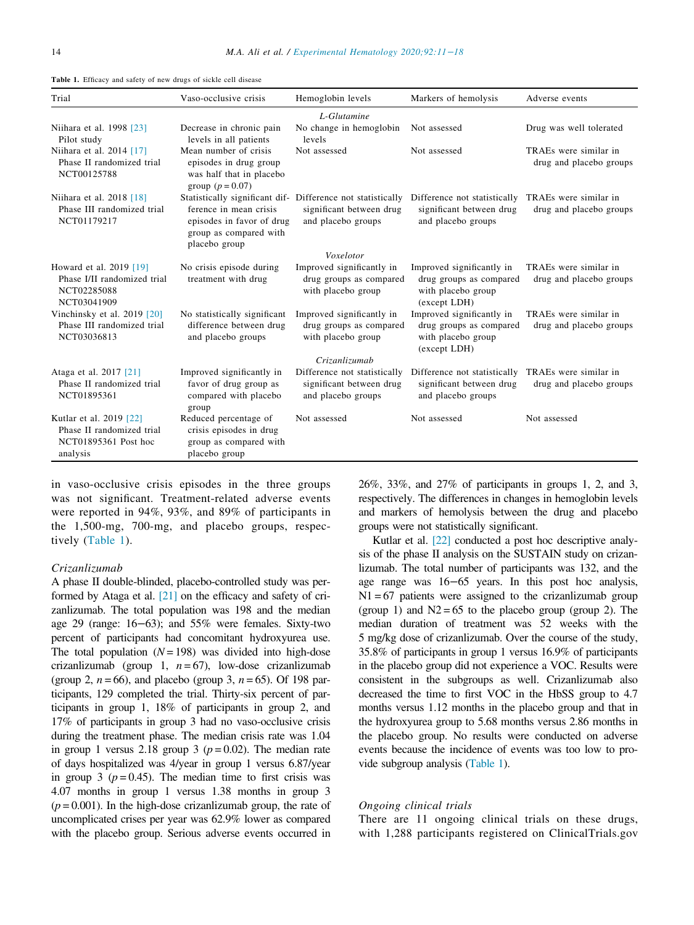<span id="page-3-0"></span>

|  | Table 1. Efficacy and safety of new drugs of sickle cell disease |  |  |  |  |  |  |  |  |
|--|------------------------------------------------------------------|--|--|--|--|--|--|--|--|
|--|------------------------------------------------------------------|--|--|--|--|--|--|--|--|

| Trial                                                                                    | Vaso-occlusive crisis                                                                                                                                         | Hemoglobin levels                                                                               | Markers of hemolysis                                                                       | Adverse events                                   |
|------------------------------------------------------------------------------------------|---------------------------------------------------------------------------------------------------------------------------------------------------------------|-------------------------------------------------------------------------------------------------|--------------------------------------------------------------------------------------------|--------------------------------------------------|
|                                                                                          |                                                                                                                                                               | L-Glutamine                                                                                     |                                                                                            |                                                  |
| Niihara et al. 1998 [23]<br>Pilot study                                                  | Decrease in chronic pain<br>levels in all patients                                                                                                            | No change in hemoglobin<br>levels                                                               | Not assessed                                                                               | Drug was well tolerated                          |
| Niihara et al. 2014 [17]<br>Phase II randomized trial<br>NCT00125788                     | Mean number of crisis<br>episodes in drug group<br>was half that in placebo<br>group $(p = 0.07)$                                                             | Not assessed                                                                                    | Not assessed                                                                               | TRAEs were similar in<br>drug and placebo groups |
| Niihara et al. 2018 [18]<br>Phase III randomized trial<br>NCT01179217                    | Statistically significant dif- Difference not statistically<br>ference in mean crisis<br>episodes in favor of drug<br>group as compared with<br>placebo group | significant between drug<br>and placebo groups                                                  | Difference not statistically<br>significant between drug<br>and placebo groups             | TRAEs were similar in<br>drug and placebo groups |
|                                                                                          |                                                                                                                                                               | Voxelotor                                                                                       |                                                                                            |                                                  |
| Howard et al. 2019 [19]<br>Phase I/II randomized trial<br>NCT02285088<br>NCT03041909     | No crisis episode during<br>treatment with drug                                                                                                               | Improved significantly in<br>drug groups as compared<br>with placebo group                      | Improved significantly in<br>drug groups as compared<br>with placebo group<br>(except LDH) | TRAEs were similar in<br>drug and placebo groups |
| Vinchinsky et al. $2019$ [20]<br>Phase III randomized trial<br>NCT03036813               | No statistically significant<br>difference between drug<br>and placebo groups                                                                                 | Improved significantly in<br>drug groups as compared<br>with placebo group                      | Improved significantly in<br>drug groups as compared<br>with placebo group<br>(except LDH) | TRAEs were similar in<br>drug and placebo groups |
| Ataga et al. 2017 [21]<br>Phase II randomized trial<br>NCT01895361                       | Improved significantly in<br>favor of drug group as<br>compared with placebo<br>group                                                                         | Crizanlizumab<br>Difference not statistically<br>significant between drug<br>and placebo groups | Difference not statistically<br>significant between drug<br>and placebo groups             | TRAEs were similar in<br>drug and placebo groups |
| Kutlar et al. 2019 [22]<br>Phase II randomized trial<br>NCT01895361 Post hoc<br>analysis | Reduced percentage of<br>crisis episodes in drug<br>group as compared with<br>placebo group                                                                   | Not assessed                                                                                    | Not assessed                                                                               | Not assessed                                     |

in vaso-occlusive crisis episodes in the three groups was not significant. Treatment-related adverse events were reported in 94%, 93%, and 89% of participants in the 1,500-mg, 700-mg, and placebo groups, respectively ([Table 1](#page-3-0)).

## Crizanlizumab

A phase II double-blinded, placebo-controlled study was performed by Ataga et al. [\[21\]](#page-6-18) on the efficacy and safety of crizanlizumab. The total population was 198 and the median age 29 (range: 16−63); and 55% were females. Sixty-two percent of participants had concomitant hydroxyurea use. The total population  $(N = 198)$  was divided into high-dose crizanlizumab (group 1,  $n = 67$ ), low-dose crizanlizumab (group 2,  $n = 66$ ), and placebo (group 3,  $n = 65$ ). Of 198 participants, 129 completed the trial. Thirty-six percent of participants in group 1, 18% of participants in group 2, and 17% of participants in group 3 had no vaso-occlusive crisis during the treatment phase. The median crisis rate was 1.04 in group 1 versus 2.18 group 3 ( $p = 0.02$ ). The median rate of days hospitalized was 4/year in group 1 versus 6.87/year in group 3 ( $p = 0.45$ ). The median time to first crisis was 4.07 months in group 1 versus 1.38 months in group 3  $(p = 0.001)$ . In the high-dose crizanlizumab group, the rate of uncomplicated crises per year was 62.9% lower as compared with the placebo group. Serious adverse events occurred in

26%, 33%, and 27% of participants in groups 1, 2, and 3, respectively. The differences in changes in hemoglobin levels and markers of hemolysis between the drug and placebo groups were not statistically significant.

Kutlar et al. [\[22\]](#page-6-19) conducted a post hoc descriptive analysis of the phase II analysis on the SUSTAIN study on crizanlizumab. The total number of participants was 132, and the age range was 16−65 years. In this post hoc analysis,  $N1 = 67$  patients were assigned to the crizanlizumab group (group 1) and  $N2 = 65$  to the placebo group (group 2). The median duration of treatment was 52 weeks with the 5 mg/kg dose of crizanlizumab. Over the course of the study, 35.8% of participants in group 1 versus 16.9% of participants in the placebo group did not experience a VOC. Results were consistent in the subgroups as well. Crizanlizumab also decreased the time to first VOC in the HbSS group to 4.7 months versus 1.12 months in the placebo group and that in the hydroxyurea group to 5.68 months versus 2.86 months in the placebo group. No results were conducted on adverse events because the incidence of events was too low to provide subgroup analysis [\(Table 1](#page-3-0)).

## Ongoing clinical trials

There are 11 ongoing clinical trials on these drugs, with 1,288 participants registered on ClinicalTrials.gov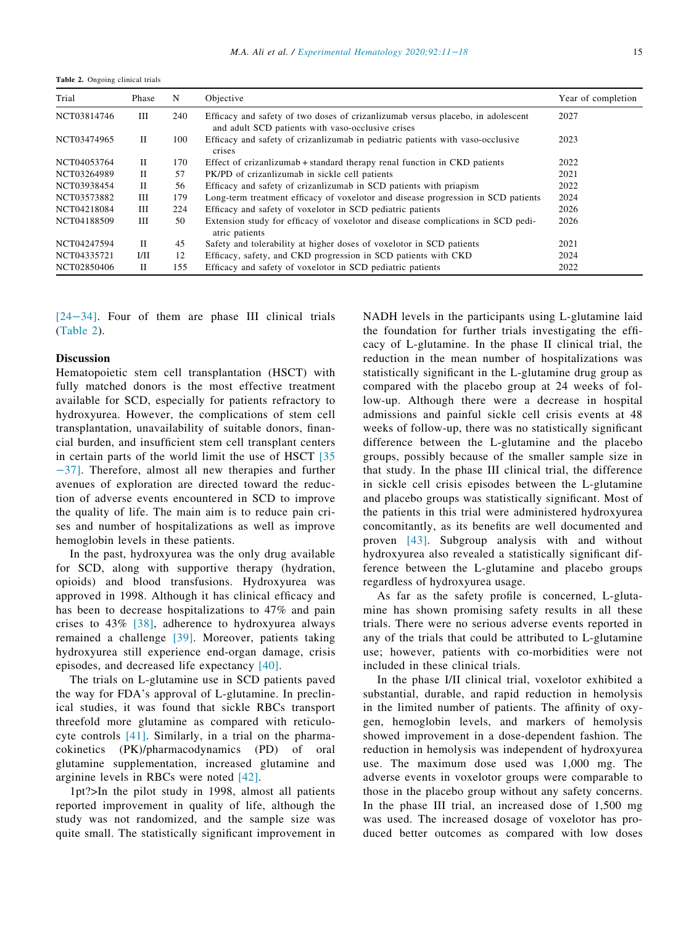<span id="page-4-0"></span>Table 2. Ongoing clinical trials

| Trial       | Phase       | N   | Objective                                                                                                                            | Year of completion |
|-------------|-------------|-----|--------------------------------------------------------------------------------------------------------------------------------------|--------------------|
| NCT03814746 | Ш           | 240 | Efficacy and safety of two doses of crizantizumab versus placebo, in adolescent<br>and adult SCD patients with vaso-occlusive crises | 2027               |
| NCT03474965 | П           | 100 | Efficacy and safety of crizanlizumab in pediatric patients with vaso-occlusive<br>crises                                             | 2023               |
| NCT04053764 | H           | 170 | Effect of crizanizumab + standard therapy renal function in CKD patients                                                             | 2022               |
| NCT03264989 | H           | 57  | PK/PD of crizanlizumab in sickle cell patients                                                                                       | 2021               |
| NCT03938454 | П           | 56  | Efficacy and safety of crizanlizumab in SCD patients with priapism                                                                   | 2022               |
| NCT03573882 | Ш           | 179 | Long-term treatment efficacy of voxelotor and disease progression in SCD patients                                                    | 2024               |
| NCT04218084 | Ш           | 224 | Efficacy and safety of voxelotor in SCD pediatric patients                                                                           | 2026               |
| NCT04188509 | Ш           | 50  | Extension study for efficacy of voxelotor and disease complications in SCD pedi-<br>atric patients                                   | 2026               |
| NCT04247594 | $_{\rm II}$ | 45  | Safety and tolerability at higher doses of voxelotor in SCD patients                                                                 | 2021               |
| NCT04335721 | 1/11        | 12  | Efficacy, safety, and CKD progression in SCD patients with CKD                                                                       | 2024               |
| NCT02850406 | П           | 155 | Efficacy and safety of voxelotor in SCD pediatric patients                                                                           | 2022               |

[24−[34\]](#page-7-0). Four of them are phase III clinical trials [\(Table 2\)](#page-4-0).

## Discussion

Hematopoietic stem cell transplantation (HSCT) with fully matched donors is the most effective treatment available for SCD, especially for patients refractory to hydroxyurea. However, the complications of stem cell transplantation, unavailability of suitable donors, financial burden, and insufficient stem cell transplant centers in certain parts of the world limit the use of HSCT [\[35](#page-7-1) −[37\]](#page-7-1). Therefore, almost all new therapies and further avenues of exploration are directed toward the reduction of adverse events encountered in SCD to improve the quality of life. The main aim is to reduce pain crises and number of hospitalizations as well as improve hemoglobin levels in these patients.

In the past, hydroxyurea was the only drug available for SCD, along with supportive therapy (hydration, opioids) and blood transfusions. Hydroxyurea was approved in 1998. Although it has clinical efficacy and has been to decrease hospitalizations to 47% and pain crises to 43% [\[38\],](#page-7-2) adherence to hydroxyurea always remained a challenge [\[39\]](#page-7-3). Moreover, patients taking hydroxyurea still experience end-organ damage, crisis episodes, and decreased life expectancy [\[40\].](#page-7-4)

The trials on L-glutamine use in SCD patients paved the way for FDA's approval of L-glutamine. In preclinical studies, it was found that sickle RBCs transport threefold more glutamine as compared with reticulocyte controls [\[41\]](#page-7-5). Similarly, in a trial on the pharmacokinetics (PK)/pharmacodynamics (PD) of oral glutamine supplementation, increased glutamine and arginine levels in RBCs were noted [\[42\]](#page-7-6).

1pt?>In the pilot study in 1998, almost all patients reported improvement in quality of life, although the study was not randomized, and the sample size was quite small. The statistically significant improvement in NADH levels in the participants using L-glutamine laid the foundation for further trials investigating the efficacy of L-glutamine. In the phase II clinical trial, the reduction in the mean number of hospitalizations was statistically significant in the L-glutamine drug group as compared with the placebo group at 24 weeks of follow-up. Although there were a decrease in hospital admissions and painful sickle cell crisis events at 48 weeks of follow-up, there was no statistically significant difference between the L-glutamine and the placebo groups, possibly because of the smaller sample size in that study. In the phase III clinical trial, the difference in sickle cell crisis episodes between the L-glutamine and placebo groups was statistically significant. Most of the patients in this trial were administered hydroxyurea concomitantly, as its benefits are well documented and proven [\[43\].](#page-7-7) Subgroup analysis with and without hydroxyurea also revealed a statistically significant difference between the L-glutamine and placebo groups regardless of hydroxyurea usage.

As far as the safety profile is concerned, L-glutamine has shown promising safety results in all these trials. There were no serious adverse events reported in any of the trials that could be attributed to L-glutamine use; however, patients with co-morbidities were not included in these clinical trials.

In the phase I/II clinical trial, voxelotor exhibited a substantial, durable, and rapid reduction in hemolysis in the limited number of patients. The affinity of oxygen, hemoglobin levels, and markers of hemolysis showed improvement in a dose-dependent fashion. The reduction in hemolysis was independent of hydroxyurea use. The maximum dose used was 1,000 mg. The adverse events in voxelotor groups were comparable to those in the placebo group without any safety concerns. In the phase III trial, an increased dose of 1,500 mg was used. The increased dosage of voxelotor has produced better outcomes as compared with low doses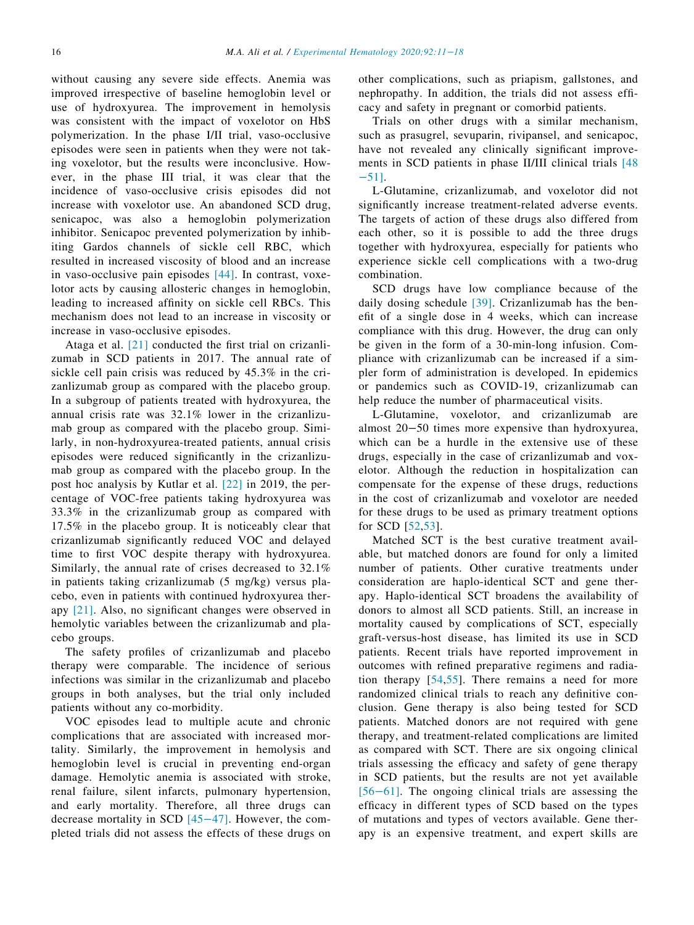without causing any severe side effects. Anemia was improved irrespective of baseline hemoglobin level or use of hydroxyurea. The improvement in hemolysis was consistent with the impact of voxelotor on HbS polymerization. In the phase I/II trial, vaso-occlusive episodes were seen in patients when they were not taking voxelotor, but the results were inconclusive. However, in the phase III trial, it was clear that the incidence of vaso-occlusive crisis episodes did not increase with voxelotor use. An abandoned SCD drug, senicapoc, was also a hemoglobin polymerization inhibitor. Senicapoc prevented polymerization by inhibiting Gardos channels of sickle cell RBC, which resulted in increased viscosity of blood and an increase in vaso-occlusive pain episodes [\[44\].](#page-7-8) In contrast, voxelotor acts by causing allosteric changes in hemoglobin, leading to increased affinity on sickle cell RBCs. This mechanism does not lead to an increase in viscosity or increase in vaso-occlusive episodes.

Ataga et al. [\[21\]](#page-6-18) conducted the first trial on crizanlizumab in SCD patients in 2017. The annual rate of sickle cell pain crisis was reduced by 45.3% in the crizanlizumab group as compared with the placebo group. In a subgroup of patients treated with hydroxyurea, the annual crisis rate was 32.1% lower in the crizanlizumab group as compared with the placebo group. Similarly, in non-hydroxyurea-treated patients, annual crisis episodes were reduced significantly in the crizanlizumab group as compared with the placebo group. In the post hoc analysis by Kutlar et al. [\[22\]](#page-6-19) in 2019, the percentage of VOC-free patients taking hydroxyurea was 33.3% in the crizanlizumab group as compared with 17.5% in the placebo group. It is noticeably clear that crizanlizumab significantly reduced VOC and delayed time to first VOC despite therapy with hydroxyurea. Similarly, the annual rate of crises decreased to 32.1% in patients taking crizanlizumab (5 mg/kg) versus placebo, even in patients with continued hydroxyurea therapy [\[21\].](#page-6-18) Also, no significant changes were observed in hemolytic variables between the crizanlizumab and placebo groups.

The safety profiles of crizanlizumab and placebo therapy were comparable. The incidence of serious infections was similar in the crizanlizumab and placebo groups in both analyses, but the trial only included patients without any co-morbidity.

VOC episodes lead to multiple acute and chronic complications that are associated with increased mortality. Similarly, the improvement in hemolysis and hemoglobin level is crucial in preventing end-organ damage. Hemolytic anemia is associated with stroke, renal failure, silent infarcts, pulmonary hypertension, and early mortality. Therefore, all three drugs can decrease mortality in SCD [45−[47\].](#page-7-9) However, the completed trials did not assess the effects of these drugs on

other complications, such as priapism, gallstones, and nephropathy. In addition, the trials did not assess efficacy and safety in pregnant or comorbid patients.

Trials on other drugs with a similar mechanism, such as prasugrel, sevuparin, rivipansel, and senicapoc, have not revealed any clinically significant improve-ments in SCD patients in phase II/III clinical trials [\[48](#page-7-10)] −[51\]](#page-7-10).

L-Glutamine, crizanlizumab, and voxelotor did not significantly increase treatment-related adverse events. The targets of action of these drugs also differed from each other, so it is possible to add the three drugs together with hydroxyurea, especially for patients who experience sickle cell complications with a two-drug combination.

SCD drugs have low compliance because of the daily dosing schedule [\[39\]](#page-7-3). Crizanlizumab has the benefit of a single dose in 4 weeks, which can increase compliance with this drug. However, the drug can only be given in the form of a 30-min-long infusion. Compliance with crizanlizumab can be increased if a simpler form of administration is developed. In epidemics or pandemics such as COVID-19, crizanlizumab can help reduce the number of pharmaceutical visits.

L-Glutamine, voxelotor, and crizanlizumab are almost 20−50 times more expensive than hydroxyurea, which can be a hurdle in the extensive use of these drugs, especially in the case of crizanlizumab and voxelotor. Although the reduction in hospitalization can compensate for the expense of these drugs, reductions in the cost of crizanlizumab and voxelotor are needed for these drugs to be used as primary treatment options for SCD [[52,](#page-7-11)[53\]](#page-7-12).

Matched SCT is the best curative treatment available, but matched donors are found for only a limited number of patients. Other curative treatments under consideration are haplo-identical SCT and gene therapy. Haplo-identical SCT broadens the availability of donors to almost all SCD patients. Still, an increase in mortality caused by complications of SCT, especially graft-versus-host disease, has limited its use in SCD patients. Recent trials have reported improvement in outcomes with refined preparative regimens and radiation therapy [[54](#page-7-13),[55](#page-7-14)]. There remains a need for more randomized clinical trials to reach any definitive conclusion. Gene therapy is also being tested for SCD patients. Matched donors are not required with gene therapy, and treatment-related complications are limited as compared with SCT. There are six ongoing clinical trials assessing the efficacy and safety of gene therapy in SCD patients, but the results are not yet available [56−[61\]](#page-7-15). The ongoing clinical trials are assessing the efficacy in different types of SCD based on the types of mutations and types of vectors available. Gene therapy is an expensive treatment, and expert skills are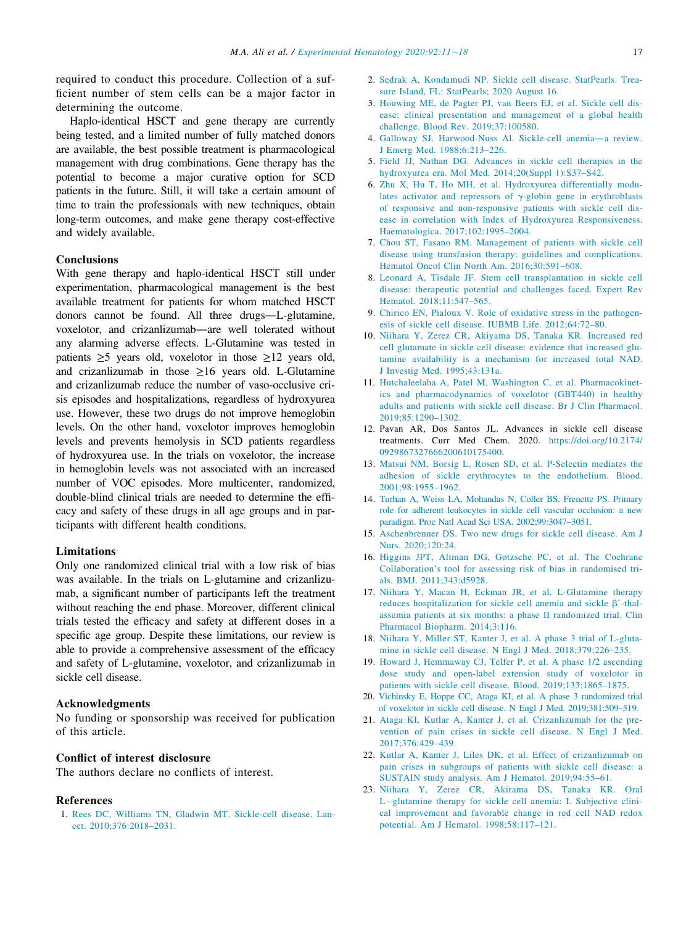<span id="page-6-1"></span>required to conduct this procedure. Collection of a sufficient number of stem cells can be a major factor in determining the outcome.

<span id="page-6-5"></span><span id="page-6-4"></span><span id="page-6-3"></span><span id="page-6-2"></span>Haplo-identical HSCT and gene therapy are currently being tested, and a limited number of fully matched donors are available, the best possible treatment is pharmacological management with drug combinations. Gene therapy has the potential to become a major curative option for SCD patients in the future. Still, it will take a certain amount of time to train the professionals with new techniques, obtain long-term outcomes, and make gene therapy cost-effective and widely available.

## <span id="page-6-6"></span>**Conclusions**

<span id="page-6-10"></span><span id="page-6-9"></span><span id="page-6-8"></span><span id="page-6-7"></span>With gene therapy and haplo-identical HSCT still under experimentation, pharmacological management is the best available treatment for patients for whom matched HSCT donors cannot be found. All three drugs—L-glutamine, voxelotor, and crizanlizumab—are well tolerated without any alarming adverse effects. L-Glutamine was tested in patients  $\geq 5$  years old, voxelotor in those  $\geq 12$  years old, and crizanlizumab in those  $\geq 16$  years old. L-Glutamine and crizanlizumab reduce the number of vaso-occlusive crisis episodes and hospitalizations, regardless of hydroxyurea use. However, these two drugs do not improve hemoglobin levels. On the other hand, voxelotor improves hemoglobin levels and prevents hemolysis in SCD patients regardless of hydroxyurea use. In the trials on voxelotor, the increase in hemoglobin levels was not associated with an increased number of VOC episodes. More multicenter, randomized, double-blind clinical trials are needed to determine the efficacy and safety of these drugs in all age groups and in participants with different health conditions.

## <span id="page-6-13"></span><span id="page-6-12"></span><span id="page-6-11"></span>Limitations

<span id="page-6-14"></span>Only one randomized clinical trial with a low risk of bias was available. In the trials on L-glutamine and crizanlizumab, a significant number of participants left the treatment without reaching the end phase. Moreover, different clinical trials tested the efficacy and safety at different doses in a specific age group. Despite these limitations, our review is able to provide a comprehensive assessment of the efficacy and safety of L-glutamine, voxelotor, and crizanlizumab in sickle cell disease.

## <span id="page-6-17"></span><span id="page-6-16"></span><span id="page-6-15"></span>Acknowledgments

<span id="page-6-18"></span>No funding or sponsorship was received for publication of this article.

## <span id="page-6-19"></span>Conflict of interest disclosure

The authors declare no conflicts of interest.

#### <span id="page-6-20"></span><span id="page-6-0"></span>References

1. [Rees DC, Williams TN, Gladwin MT. Sickle-cell disease. Lan](http://refhub.elsevier.com/S0301-472X(20)30356-8/sbref0001)[cet. 2010;376:2018–2031.](http://refhub.elsevier.com/S0301-472X(20)30356-8/sbref0001)

- 2. [Sedrak A, Kondamudi NP. Sickle cell disease. StatPearls. Trea](http://refhub.elsevier.com/S0301-472X(20)30356-8/sbref0002)[sure Island, FL: StatPearls; 2020 August 16.](http://refhub.elsevier.com/S0301-472X(20)30356-8/sbref0002)
- 3. [Houwing ME, de Pagter PJ, van Beers EJ, et al. Sickle cell dis](http://refhub.elsevier.com/S0301-472X(20)30356-8/sbref0003)[ease: clinical presentation and management of a global health](http://refhub.elsevier.com/S0301-472X(20)30356-8/sbref0003) [challenge. Blood Rev. 2019;37:100580.](http://refhub.elsevier.com/S0301-472X(20)30356-8/sbref0003)
- 4. [Galloway SJ. Harwood-Nuss](http://refhub.elsevier.com/S0301-472X(20)30356-8/sbref0004) Al. Sickle-cell anemia—a review. [J Emerg Med. 1988;6:213–226.](http://refhub.elsevier.com/S0301-472X(20)30356-8/sbref0004)
- 5. [Field JJ, Nathan DG. Advances in sickle cell therapies in the](http://refhub.elsevier.com/S0301-472X(20)30356-8/sbref0005) [hydroxyurea era. Mol Med. 2014;20\(Suppl 1\):S37–S42.](http://refhub.elsevier.com/S0301-472X(20)30356-8/sbref0005)
- 6. [Zhu X, Hu T, Ho MH, et al. Hydroxyurea differentially modu](http://refhub.elsevier.com/S0301-472X(20)30356-8/sbref0006)[lates activator and repressors of](http://refhub.elsevier.com/S0301-472X(20)30356-8/sbref0006)  $\gamma$ [-globin gene in erythroblasts](http://refhub.elsevier.com/S0301-472X(20)30356-8/sbref0006) [of responsive and non-responsive patients with sickle cell dis](http://refhub.elsevier.com/S0301-472X(20)30356-8/sbref0006)[ease in correlation with Index of Hydroxyurea Responsiveness.](http://refhub.elsevier.com/S0301-472X(20)30356-8/sbref0006) [Haematologica. 2017;102:1995–2004.](http://refhub.elsevier.com/S0301-472X(20)30356-8/sbref0006)
- 7. [Chou ST, Fasano RM. Management of patients with sickle cell](http://refhub.elsevier.com/S0301-472X(20)30356-8/sbref0007) [disease using transfusion therapy: guidelines and complications.](http://refhub.elsevier.com/S0301-472X(20)30356-8/sbref0007) [Hematol Oncol Clin North Am. 2016;30:591–608.](http://refhub.elsevier.com/S0301-472X(20)30356-8/sbref0007)
- 8. [Leonard A, Tisdale JF. Stem cell transplantation in sickle cell](http://refhub.elsevier.com/S0301-472X(20)30356-8/sbref0008) [disease: therapeutic potential and challenges faced. Expert Rev](http://refhub.elsevier.com/S0301-472X(20)30356-8/sbref0008) [Hematol. 2018;11:547–565.](http://refhub.elsevier.com/S0301-472X(20)30356-8/sbref0008)
- 9. [Chirico EN, Pialoux V. Role of oxidative stress in the pathogen](http://refhub.elsevier.com/S0301-472X(20)30356-8/sbref0009)[esis of sickle cell disease. IUBMB Life. 2012;64:72–80.](http://refhub.elsevier.com/S0301-472X(20)30356-8/sbref0009)
- 10. [Niihara Y, Zerez CR, Akiyama DS, Tanaka KR. Increased red](http://refhub.elsevier.com/S0301-472X(20)30356-8/sbref0010) [cell glutamate in sickle cell disease: evidence that increased glu](http://refhub.elsevier.com/S0301-472X(20)30356-8/sbref0010)[tamine availability is a mechanism for increased total NAD.](http://refhub.elsevier.com/S0301-472X(20)30356-8/sbref0010) [J Investig Med. 1995;43:131a.](http://refhub.elsevier.com/S0301-472X(20)30356-8/sbref0010)
- 11. [Hutchaleelaha A, Patel M, Washington C, et al. Pharmacokinet](http://refhub.elsevier.com/S0301-472X(20)30356-8/sbref0011)[ics and pharmacodynamics of voxelotor \(GBT440\) in healthy](http://refhub.elsevier.com/S0301-472X(20)30356-8/sbref0011) [adults and patients with sickle cell disease. Br J Clin Pharmacol.](http://refhub.elsevier.com/S0301-472X(20)30356-8/sbref0011) [2019;85:1290–1302.](http://refhub.elsevier.com/S0301-472X(20)30356-8/sbref0011)
- 12. Pavan AR, Dos Santos JL. Advances in sickle cell disease treatments. Curr Med Chem. 2020. https://doi.org[/10.2174/](https://doi.org/10.2174/0929867327666200610175400) [0929867327666200610175400.](https://doi.org/10.2174/0929867327666200610175400)
- 13. [Matsui NM, Borsig L, Rosen SD, et al. P-Selectin mediates the](http://refhub.elsevier.com/S0301-472X(20)30356-8/sbref0013) [adhesion of sickle erythrocytes to the endothelium. Blood.](http://refhub.elsevier.com/S0301-472X(20)30356-8/sbref0013) [2001;98:1955–1962.](http://refhub.elsevier.com/S0301-472X(20)30356-8/sbref0013)
- 14. [Turhan A, Weiss LA, Mohandas N, Coller BS, Frenette PS. Primary](http://refhub.elsevier.com/S0301-472X(20)30356-8/sbref0014) [role for adherent leukocytes in sickle cell vascular occlusion: a new](http://refhub.elsevier.com/S0301-472X(20)30356-8/sbref0014) [paradigm. Proc Natl Acad Sci USA. 2002;99:3047–3051.](http://refhub.elsevier.com/S0301-472X(20)30356-8/sbref0014)
- 15. [Aschenbrenner DS. Two new drugs for sickle cell disease. Am J](http://refhub.elsevier.com/S0301-472X(20)30356-8/sbref0015) [Nurs. 2020;120:24.](http://refhub.elsevier.com/S0301-472X(20)30356-8/sbref0015)
- 16. [Higgins JPT, Altman DG, Gøtzsche PC, et al. The Cochrane](http://refhub.elsevier.com/S0301-472X(20)30356-8/sbref0016) [Collaboration](http://refhub.elsevier.com/S0301-472X(20)30356-8/sbref0016)'s tool for assessing [risk of bias in randomised tri](http://refhub.elsevier.com/S0301-472X(20)30356-8/sbref0016)[als. BMJ. 2011;343:d5928.](http://refhub.elsevier.com/S0301-472X(20)30356-8/sbref0016)
- 17. [Niihara Y, Macan H, Eckman JR, et al. L-Glutamine therapy](http://refhub.elsevier.com/S0301-472X(20)30356-8/sbref0017) [reduces hospitalization for sickle cell anemia and sickle](http://refhub.elsevier.com/S0301-472X(20)30356-8/sbref0017)  $\beta^{\circ}$ -thal[assemia patients at six months: a phase II randomized trial. Clin](http://refhub.elsevier.com/S0301-472X(20)30356-8/sbref0017) [Pharmacol Biopharm. 2014;3:116.](http://refhub.elsevier.com/S0301-472X(20)30356-8/sbref0017)
- 18. [Niihara Y, Miller ST, Kanter J, et al. A phase 3 trial of L-gluta](http://refhub.elsevier.com/S0301-472X(20)30356-8/sbref0018)[mine in sickle cell disease. N Engl J Med. 2018;379:226–235.](http://refhub.elsevier.com/S0301-472X(20)30356-8/sbref0018)
- 19. [Howard J, Hemmaway CJ, Telfer P, et al. A phase 1/2 ascending](http://refhub.elsevier.com/S0301-472X(20)30356-8/sbref0019) [dose study and open-label extension study of voxelotor in](http://refhub.elsevier.com/S0301-472X(20)30356-8/sbref0019) [patients with sickle cell disease. Blood. 2019;133:1865–1875.](http://refhub.elsevier.com/S0301-472X(20)30356-8/sbref0019)
- 20. [Vichinsky E, Hoppe CC, Ataga KI, et al. A phase 3 randomized trial](http://refhub.elsevier.com/S0301-472X(20)30356-8/sbref0020) [of voxelotor in sickle cell disease. N Engl J Med. 2019;381:509–519.](http://refhub.elsevier.com/S0301-472X(20)30356-8/sbref0020)
- 21. [Ataga KI, Kutlar A, Kanter J, et al. Crizanlizumab for the pre](http://refhub.elsevier.com/S0301-472X(20)30356-8/sbref0021)[vention of pain crises in sickle cell disease. N Engl J Med.](http://refhub.elsevier.com/S0301-472X(20)30356-8/sbref0021) [2017;376:429–439.](http://refhub.elsevier.com/S0301-472X(20)30356-8/sbref0021)
- 22. [Kutlar A, Kanter J, Liles DK, et al. Effect of crizanlizumab on](http://refhub.elsevier.com/S0301-472X(20)30356-8/sbref0022) [pain crises in subgroups of patients with sickle cell disease: a](http://refhub.elsevier.com/S0301-472X(20)30356-8/sbref0022) [SUSTAIN study analysis. Am J Hematol. 2019;94:55–61.](http://refhub.elsevier.com/S0301-472X(20)30356-8/sbref0022)
- 23. [Niihara Y, Zerez CR, Akirama DS, Tanaka KR. Oral](http://refhub.elsevier.com/S0301-472X(20)30356-8/sbref0023) [L](http://refhub.elsevier.com/S0301-472X(20)30356-8/sbref0023)-[glutamine therapy for sickle cell anemia: I. Subjective clini](http://refhub.elsevier.com/S0301-472X(20)30356-8/sbref0023)[cal improvement and favorable change in red cell NAD redox](http://refhub.elsevier.com/S0301-472X(20)30356-8/sbref0023) [potential. Am J Hematol. 1998;58:117–121.](http://refhub.elsevier.com/S0301-472X(20)30356-8/sbref0023)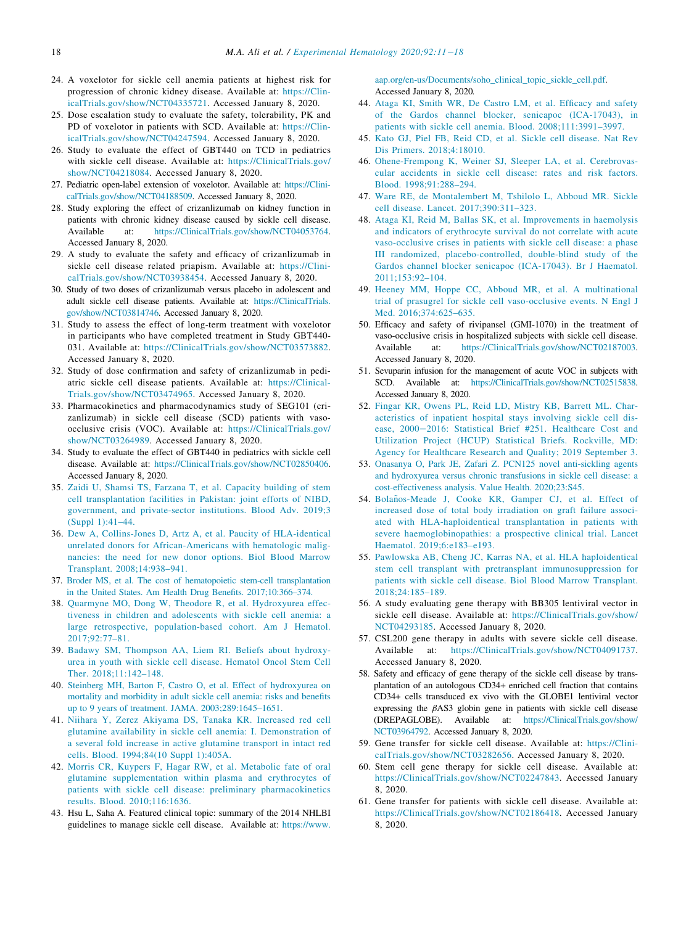- <span id="page-7-0"></span>24. A voxelotor for sickle cell anemia patients at highest risk for progression of chronic kidney disease. Available at: [https://Clin](https://ClinicalTrials.gov/show/NCT04335721)[icalTrials.gov/show/NCT04335721](https://ClinicalTrials.gov/show/NCT04335721). Accessed January 8, 2020.
- <span id="page-7-8"></span>25. Dose escalation study to evaluate the safety, tolerability, PK and PD of voxelotor in patients with SCD. Available at: [https://Clin](https://ClinicalTrials.gov/show/NCT04247594)[icalTrials.gov/show/NCT04247594](https://ClinicalTrials.gov/show/NCT04247594). Accessed January 8, 2020.
- <span id="page-7-9"></span>26. Study to evaluate the effect of GBT440 on TCD in pediatrics with sickle cell disease. Available at: [https://ClinicalTrials.gov/](https://ClinicalTrials.gov/show/NCT04218084) [show/NCT04218084](https://ClinicalTrials.gov/show/NCT04218084). Accessed January 8, 2020.
- 27. Pediatric open-label extension of voxelotor. Available at: [https://Clini](https://ClinicalTrials.gov/show/NCT04188509)[calTrials.gov/show/NCT04188509.](https://ClinicalTrials.gov/show/NCT04188509) Accessed January 8, 2020.
- <span id="page-7-10"></span>28. Study exploring the effect of crizanlizumab on kidney function in patients with chronic kidney disease caused by sickle cell disease. Available at: <https://ClinicalTrials.gov/show/NCT04053764>. Accessed January 8, 2020.
- 29. A study to evaluate the safety and efficacy of crizanlizumab in sickle cell disease related priapism. Available at: [https://Clini](https://ClinicalTrials.gov/show/NCT03938454)[calTrials.gov/show/NCT03938454](https://ClinicalTrials.gov/show/NCT03938454). Accessed January 8, 2020.
- 30. Study of two doses of crizanlizumab versus placebo in adolescent and adult sickle cell disease patients. Available at: [https://ClinicalTrials.](https://ClinicalTrials.gov/show/NCT03814746) [gov/show/NCT03814746.](https://ClinicalTrials.gov/show/NCT03814746) Accessed January 8, 2020.
- 31. Study to assess the effect of long-term treatment with voxelotor in participants who have completed treatment in Study GBT440- 031. Available at: <https://ClinicalTrials.gov/show/NCT03573882>. Accessed January 8, 2020.
- 32. Study of dose confirmation and safety of crizanlizumab in pediatric sickle cell disease patients. Available at: [https://Clinical-](https://ClinicalTrials.gov/show/NCT03474965)[Trials.gov/show/NCT03474965](https://ClinicalTrials.gov/show/NCT03474965). Accessed January 8, 2020.
- <span id="page-7-11"></span>33. Pharmacokinetics and pharmacodynamics study of SEG101 (crizanlizumab) in sickle cell disease (SCD) patients with vasoocclusive crisis (VOC). Available at: [https://ClinicalTrials.gov/](https://ClinicalTrials.gov/show/NCT03264989) [show/NCT03264989](https://ClinicalTrials.gov/show/NCT03264989). Accessed January 8, 2020.
- <span id="page-7-12"></span>34. Study to evaluate the effect of GBT440 in pediatrics with sickle cell disease. Available at: <https://ClinicalTrials.gov/show/NCT02850406>. Accessed January 8, 2020.
- <span id="page-7-13"></span><span id="page-7-1"></span>35. [Zaidi U, Shamsi TS, Farzana T, et al. Capacity building of stem](http://refhub.elsevier.com/S0301-472X(20)30356-8/sbref0035) [cell transplantation facilities in Pakistan: joint efforts of NIBD,](http://refhub.elsevier.com/S0301-472X(20)30356-8/sbref0035) [government, and private-sector institutions. Blood Adv. 2019;3](http://refhub.elsevier.com/S0301-472X(20)30356-8/sbref0035) [\(Suppl 1\):41–44.](http://refhub.elsevier.com/S0301-472X(20)30356-8/sbref0035)
- <span id="page-7-14"></span>36. [Dew A, Collins-Jones D, Artz A, et al. Paucity of HLA-identical](http://refhub.elsevier.com/S0301-472X(20)30356-8/sbref0036) [unrelated donors for African-Americans with hematologic malig](http://refhub.elsevier.com/S0301-472X(20)30356-8/sbref0036)[nancies: the need for new donor options. Biol Blood Marrow](http://refhub.elsevier.com/S0301-472X(20)30356-8/sbref0036) [Transplant. 2008;14:938–941.](http://refhub.elsevier.com/S0301-472X(20)30356-8/sbref0036)
- 37. [Broder MS, et al. The cost of hematopoietic stem-cell transplantation](http://refhub.elsevier.com/S0301-472X(20)30356-8/sbref0037) [in the United States. Am Health Drug Benefits. 2017;10:366–374.](http://refhub.elsevier.com/S0301-472X(20)30356-8/sbref0037)
- <span id="page-7-15"></span><span id="page-7-2"></span>38. [Quarmyne MO, Dong W, Theodore R, et al. Hydroxyurea effec](http://refhub.elsevier.com/S0301-472X(20)30356-8/sbref0038)[tiveness in children and adolescents with sickle cell anemia: a](http://refhub.elsevier.com/S0301-472X(20)30356-8/sbref0038) [large retrospective, population-based cohort. Am J Hematol.](http://refhub.elsevier.com/S0301-472X(20)30356-8/sbref0038) [2017;92:77–81.](http://refhub.elsevier.com/S0301-472X(20)30356-8/sbref0038)
- <span id="page-7-3"></span>39. [Badawy SM, Thompson AA, Liem RI. Beliefs about hydroxy](http://refhub.elsevier.com/S0301-472X(20)30356-8/sbref0039)[urea in youth with sickle cell disease. Hematol Oncol Stem Cell](http://refhub.elsevier.com/S0301-472X(20)30356-8/sbref0039) [Ther. 2018;11:142–148.](http://refhub.elsevier.com/S0301-472X(20)30356-8/sbref0039)
- <span id="page-7-4"></span>40. [Steinberg MH, Barton F, Castro O, et al. Effect of hydroxyurea on](http://refhub.elsevier.com/S0301-472X(20)30356-8/sbref0040) [mortality and morbidity in adult sickle cell anemia: risks and benefits](http://refhub.elsevier.com/S0301-472X(20)30356-8/sbref0040) [up to 9 years of treatment. JAMA. 2003;289:1645–1651.](http://refhub.elsevier.com/S0301-472X(20)30356-8/sbref0040)
- <span id="page-7-5"></span>41. [Niihara Y, Zerez Akiyama DS, Tanaka KR. Increased red cell](http://refhub.elsevier.com/S0301-472X(20)30356-8/sbref0041) [glutamine availability in sickle cell anemia: I. Demonstration of](http://refhub.elsevier.com/S0301-472X(20)30356-8/sbref0041) [a several fold increase in active glutamine transport in intact red](http://refhub.elsevier.com/S0301-472X(20)30356-8/sbref0041) [cells. Blood. 1994;84\(10 Suppl 1\):405A.](http://refhub.elsevier.com/S0301-472X(20)30356-8/sbref0041)
- <span id="page-7-6"></span>42. [Morris CR, Kuypers F, Hagar RW, et al. Metabolic fate of oral](http://refhub.elsevier.com/S0301-472X(20)30356-8/sbref0042) [glutamine supplementation within plasma and erythrocytes of](http://refhub.elsevier.com/S0301-472X(20)30356-8/sbref0042) [patients with sickle cell disease:](http://refhub.elsevier.com/S0301-472X(20)30356-8/sbref0042) preliminary pharmacokinetics [results. Blood. 2010;116:1636.](http://refhub.elsevier.com/S0301-472X(20)30356-8/sbref0042)
- <span id="page-7-7"></span>43. Hsu L, Saha A. Featured clinical topic: summary of the 2014 NHLBI guidelines to manage sickle cell disease. Available at: [https://www.](https://www.aap.org/en-us/Documents/soho_clinical_topic_sickle_cell.pdf)

[aap.org/en-us/Documents/soho\\_clinical\\_topic\\_sickle\\_cell.pdf](https://www.aap.org/en-us/Documents/soho_clinical_topic_sickle_cell.pdf). Accessed January 8, 2020.

- 44. [Ataga KI, Smith WR, De Castro LM, et al. Efficacy and safety](http://refhub.elsevier.com/S0301-472X(20)30356-8/sbref0044) [of the Gardos channel blocker, senicapoc \(ICA-17043\), in](http://refhub.elsevier.com/S0301-472X(20)30356-8/sbref0044) [patients with sickle cell anemia. Blood. 2008;111:3991–3997.](http://refhub.elsevier.com/S0301-472X(20)30356-8/sbref0044)
- 45. [Kato GJ, Piel FB, Reid CD, et al.](http://refhub.elsevier.com/S0301-472X(20)30356-8/sbref0045) Sickle cell disease. Nat Rev [Dis Primers. 2018;4:18010.](http://refhub.elsevier.com/S0301-472X(20)30356-8/sbref0045)
- 46. [Ohene-Frempong K, Weiner SJ, Sleeper LA, et al. Cerebrovas](http://refhub.elsevier.com/S0301-472X(20)30356-8/sbref0046)[cular accidents in sickle cell disease: rates and risk factors.](http://refhub.elsevier.com/S0301-472X(20)30356-8/sbref0046) [Blood. 1998;91:288–294.](http://refhub.elsevier.com/S0301-472X(20)30356-8/sbref0046)
- 47. [Ware RE, de Montalembert M, Tshilolo L, Abboud MR. Sickle](http://refhub.elsevier.com/S0301-472X(20)30356-8/sbref0047) [cell disease. Lancet. 2017;390:311–323.](http://refhub.elsevier.com/S0301-472X(20)30356-8/sbref0047)
- 48. [Ataga KI, Reid M, Ballas SK, et al. Improvements in haemolysis](http://refhub.elsevier.com/S0301-472X(20)30356-8/sbref0048) [and indicators of erythrocyte survival do not correlate with acute](http://refhub.elsevier.com/S0301-472X(20)30356-8/sbref0048) [vaso-occlusive crises in patients with sickle cell disease: a phase](http://refhub.elsevier.com/S0301-472X(20)30356-8/sbref0048) [III randomized, placebo-controlled, double-blind study of the](http://refhub.elsevier.com/S0301-472X(20)30356-8/sbref0048) [Gardos channel blocker senicapoc \(ICA-17043\). Br J Haematol.](http://refhub.elsevier.com/S0301-472X(20)30356-8/sbref0048) [2011;153:92–104.](http://refhub.elsevier.com/S0301-472X(20)30356-8/sbref0048)
- 49. [Heeney MM, Hoppe CC, Abboud MR, et al. A multinational](http://refhub.elsevier.com/S0301-472X(20)30356-8/sbref0049) [trial of prasugrel for sickle cell vaso-occlusive events. N Engl J](http://refhub.elsevier.com/S0301-472X(20)30356-8/sbref0049) [Med. 2016;374:625–635.](http://refhub.elsevier.com/S0301-472X(20)30356-8/sbref0049)
- 50. Efficacy and safety of rivipansel (GMI-1070) in the treatment of vaso-occlusive crisis in hospitalized subjects with sickle cell disease. Available at: <https://ClinicalTrials.gov/show/NCT02187003>. Accessed January 8, 2020.
- 51. Sevuparin infusion for the management of acute VOC in subjects with SCD. Available at: <https://ClinicalTrials.gov/show/NCT02515838>. Accessed January 8, 2020.
- 52. [Fingar KR, Owens PL, Reid LD, Mistry KB, Barrett ML. Char](http://refhub.elsevier.com/S0301-472X(20)30356-8/sbref0052)[acteristics of inpatient hospital stays involving sickle cell dis](http://refhub.elsevier.com/S0301-472X(20)30356-8/sbref0052)ease, 2000−[2016: Statistical Brief #251. Healthcare Cost and](http://refhub.elsevier.com/S0301-472X(20)30356-8/sbref0052) [Utilization Project \(HCUP\) Statistical Briefs. Rockville, MD:](http://refhub.elsevier.com/S0301-472X(20)30356-8/sbref0052) [Agency for Healthcare Research and Quality; 2019 September 3.](http://refhub.elsevier.com/S0301-472X(20)30356-8/sbref0052)
- 53. [Onasanya O, Park JE, Zafari Z. PCN125 novel anti-sickling agents](http://refhub.elsevier.com/S0301-472X(20)30356-8/sbref0053) [and hydroxyurea versus chronic transfusions in sickle cell disease: a](http://refhub.elsevier.com/S0301-472X(20)30356-8/sbref0053) [cost-effectiveness analysis. Value Health. 2020;23:S45.](http://refhub.elsevier.com/S0301-472X(20)30356-8/sbref0053)
- 54. [Bola](http://refhub.elsevier.com/S0301-472X(20)30356-8/sbref0054)ñ[os-Meade J, Cooke KR, Gamper CJ, et al. Effect of](http://refhub.elsevier.com/S0301-472X(20)30356-8/sbref0054) [increased dose of total body irradiation on graft failure associ](http://refhub.elsevier.com/S0301-472X(20)30356-8/sbref0054)[ated with HLA-haploidentical transplantation in patients with](http://refhub.elsevier.com/S0301-472X(20)30356-8/sbref0054) [severe haemoglobinopathies: a prospective clinical trial. Lancet](http://refhub.elsevier.com/S0301-472X(20)30356-8/sbref0054) [Haematol. 2019;6:e183–e193.](http://refhub.elsevier.com/S0301-472X(20)30356-8/sbref0054)
- 55. [Pawlowska AB, Cheng JC, Karras NA, et al. HLA haploidentical](http://refhub.elsevier.com/S0301-472X(20)30356-8/sbref0055) [stem cell transplant with pretransplant immunosuppression for](http://refhub.elsevier.com/S0301-472X(20)30356-8/sbref0055) [patients with sickle cell disease. Biol Blood Marrow Transplant.](http://refhub.elsevier.com/S0301-472X(20)30356-8/sbref0055) [2018;24:185–189.](http://refhub.elsevier.com/S0301-472X(20)30356-8/sbref0055)
- 56. A study evaluating gene therapy with BB305 lentiviral vector in sickle cell disease. Available at: [https://ClinicalTrials.gov/show/](https://ClinicalTrials.gov/show/NCT04293185) [NCT04293185](https://ClinicalTrials.gov/show/NCT04293185). Accessed January 8, 2020.
- 57. CSL200 gene therapy in adults with severe sickle cell disease. Available at: <https://ClinicalTrials.gov/show/NCT04091737>. Accessed January 8, 2020.
- 58. Safety and efficacy of gene therapy of the sickle cell disease by transplantation of an autologous CD34+ enriched cell fraction that contains CD34+ cells transduced ex vivo with the GLOBE1 lentiviral vector expressing the  $\beta$ AS3 globin gene in patients with sickle cell disease (DREPAGLOBE). Available at: [https://ClinicalTrials.gov/show/](https://ClinicalTrials.gov/show/NCT03964792) [NCT03964792.](https://ClinicalTrials.gov/show/NCT03964792) Accessed January 8, 2020.
- 59. Gene transfer for sickle cell disease. Available at: [https://Clini](https://ClinicalTrials.gov/show/NCT03282656)[calTrials.gov/show/NCT03282656](https://ClinicalTrials.gov/show/NCT03282656). Accessed January 8, 2020.
- 60. Stem cell gene therapy for sickle cell disease. Available at: [https://ClinicalTrials.gov/show/NCT02247843.](https://ClinicalTrials.gov/show/NCT02247843) Accessed January 8, 2020.
- 61. Gene transfer for patients with sickle cell disease. Available at: [https://ClinicalTrials.gov/show/NCT02186418.](https://ClinicalTrials.gov/show/NCT02186418) Accessed January 8, 2020.